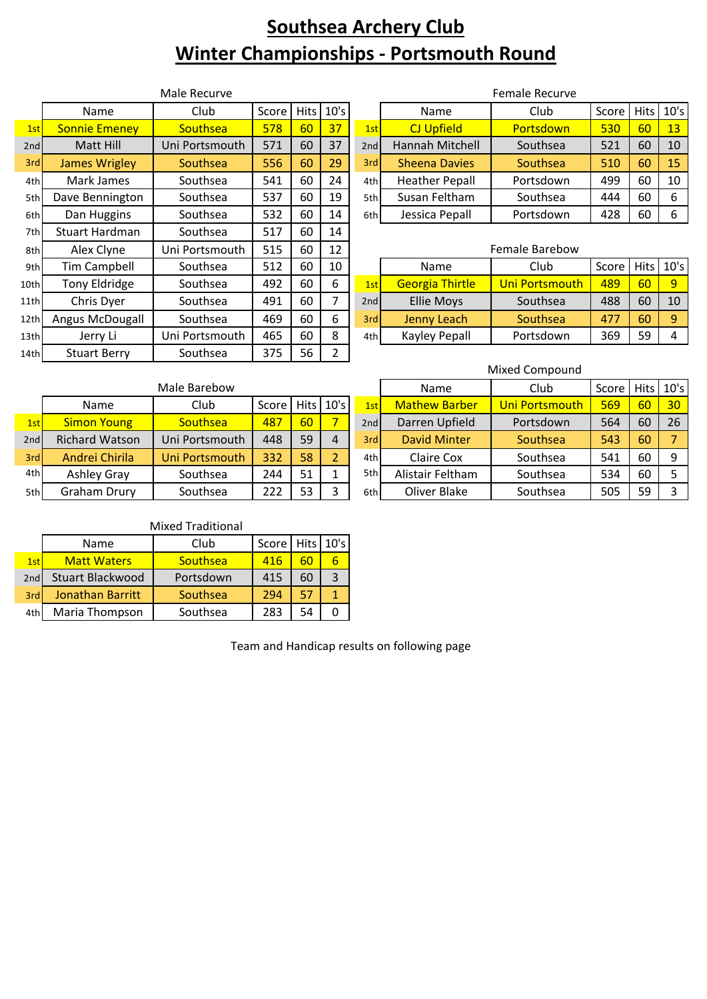# **Southsea Archery Club Winter Championships - Portsmouth Round**

| Male Recurve |                      |                 |       |             |                | Female Recurve |                        |                |       |             |      |
|--------------|----------------------|-----------------|-------|-------------|----------------|----------------|------------------------|----------------|-------|-------------|------|
|              | Name                 | Club            | Score | <b>Hits</b> | 10's           |                | Name                   | Club           | Score | <b>Hits</b> | 10's |
| 1st          | <b>Sonnie Emeney</b> | <b>Southsea</b> | 578   | 60          | 37             | 1st            | <b>CJ Upfield</b>      | Portsdown      | 530   | 60          | 13   |
| 2nd          | Matt Hill            | Uni Portsmouth  | 571   | 60          | 37             | 2nd            | Hannah Mitchell        | Southsea       | 521   | 60          | 10   |
| 3rd          | James Wrigley        | Southsea        | 556   | 60          | 29             | 3rd            | <b>Sheena Davies</b>   | Southsea       | 510   | 60          | 15   |
| 4th          | Mark James           | Southsea        | 541   | 60          | 24             | 4th            | <b>Heather Pepall</b>  | Portsdown      | 499   | 60          | 10   |
| 5th          | Dave Bennington      | Southsea        | 537   | 60          | 19             | 5th            | Susan Feltham          | Southsea       | 444   | 60          | 6    |
| 6th          | Dan Huggins          | Southsea        | 532   | 60          | 14             | 6th            | Jessica Pepall         | Portsdown      | 428   | 60          | 6    |
| 7th          | Stuart Hardman       | Southsea        | 517   | 60          | 14             |                |                        |                |       |             |      |
| 8th          | Alex Clyne           | Uni Portsmouth  | 515   | 60          | 12             |                |                        | Female Barebow |       |             |      |
| 9th          | Tim Campbell         | Southsea        | 512   | 60          | 10             |                | Name                   | Club           | Score | <b>Hits</b> | 10's |
| 10th         | Tony Eldridge        | Southsea        | 492   | 60          | 6              | 1st            | <b>Georgia Thirtle</b> | Uni Portsmouth | 489   | 60          | 9    |
| 11th         | Chris Dyer           | Southsea        | 491   | 60          | 7              | 2nd            | <b>Ellie Moys</b>      | Southsea       | 488   | 60          | 10   |
| 12th         | Angus McDougall      | Southsea        | 469   | 60          | 6              | 3rd            | Jenny Leach            | Southsea       | 477   | 60          | 9    |
| 13th         | Jerry Li             | Uni Portsmouth  | 465   | 60          | 8              | 4th            | Kayley Pepall          | Portsdown      | 369   | 59          | 4    |
| 14th         | <b>Stuart Berry</b>  | Southsea        | 375   | 56          | $\overline{2}$ |                |                        |                |       |             |      |

| Male Recurve   |                |                     |    |    |      | Female Recurve        |           |       |    |             |  |
|----------------|----------------|---------------------|----|----|------|-----------------------|-----------|-------|----|-------------|--|
| Name           | Club           | Score   Hits   10's |    |    |      | Name                  | Club      | Score |    | Hits   10's |  |
| ie Emeney      | Southsea       | 578                 | 60 | 37 | 1st  | <b>CJ Upfield</b>     | Portsdown | 530   | 60 | 13          |  |
| latt Hill      | Uni Portsmouth | 571                 | 60 | 37 | 2ndl | Hannah Mitchell       | Southsea  | 521   | 60 | 10          |  |
| es Wrigley     | Southsea       | 556                 | 60 | 29 | 3rdl | <b>Sheena Davies</b>  | Southsea  | 510   | 60 | 15          |  |
| ırk James      | Southsea       | 541                 | 60 | 24 | 4th  | <b>Heather Pepall</b> | Portsdown | 499   | 60 | 10          |  |
| Bennington     | Southsea       | 537                 | 60 | 19 | 5th  | Susan Feltham         | Southsea  | 444   | 60 | 6           |  |
| <b>Huggins</b> | Southsea       | 532                 | 60 | 14 | 6th  | Jessica Pepall        | Portsdown | 428   | 60 | 6           |  |
|                |                |                     |    |    |      |                       |           |       |    |             |  |

### Female Barebow

|                  | Name                   | Club           | Score   Hits   10's |    |    |
|------------------|------------------------|----------------|---------------------|----|----|
| 1st              | <b>Georgia Thirtle</b> | Uni Portsmouth | 489                 |    |    |
| 2nd              | <b>Ellie Moys</b>      | Southsea       | 488                 | 60 | 10 |
| 3rd <sup>'</sup> | Jenny Leach            | Southsea       | 477                 |    |    |
| 4th              | Kayley Pepall          | Portsdown      | 369                 | 59 |    |

#### Mixed Compound

|     |                       | Male Barebow   | Name  | Club | Score       | Hits 10' |                      |                |     |    |                |
|-----|-----------------------|----------------|-------|------|-------------|----------|----------------------|----------------|-----|----|----------------|
|     | Name                  | Club           | Score |      | Hits   10's | 1stl     | <b>Mathew Barber</b> | Uni Portsmouth | 569 | 60 | 3 <sup>c</sup> |
| 1st | <b>Simon Young</b>    | Southsea       | 487   | 60   |             | 2nd      | Darren Upfield       | Portsdown      | 564 | 60 | 26             |
| 2nd | <b>Richard Watson</b> | Uni Portsmouth | 448   | 59   | 4           | 3rdl     | David Minter         | Southsea       | 543 | 60 |                |
| 3rd | Andrei Chirila        | Uni Portsmouth | 332   | 58   |             | 4th      | Claire Cox           | Southsea       | 541 | 60 | 9              |
| 4th | Ashley Gray           | Southsea       | 244   | 51   |             | 5th      | Alistair Feltham     | Southsea       | 534 | 60 |                |
| 5th | Graham Drury          | Southsea       | 222   | 53   |             | 6th      | Oliver Blake         | Southsea       | 505 | 59 | 3              |

|                   | Male Barebow   |       |    |             |       | Name                 | Club           | Score l |    | Hits 10's       |
|-------------------|----------------|-------|----|-------------|-------|----------------------|----------------|---------|----|-----------------|
| Name              | Club           | Score |    | $Hits$ 10's | 1st   | <b>Mathew Barber</b> | Uni Portsmouth | 569     | 60 | 30 <sup>°</sup> |
| on Young          | Southsea       | 487   | 60 |             | 2nd   | Darren Upfield       | Portsdown      | 564     | 60 | 26              |
| <b>Ird Watson</b> | Uni Portsmouth | 448   | 59 | 4           | 3rdl  | <b>David Minter</b>  | Southsea       | 543     | 60 |                 |
| rei Chirila       | Uni Portsmouth | 332   | 58 |             | 4th   | <b>Claire Cox</b>    | Southsea       | 541     | 60 |                 |
| nley Gray         | Southsea       | 244   | 51 |             | 5th   | Alistair Feltham     | Southsea       | 534     | 60 |                 |
| am Drury          | Southsea       | 222   | 53 |             | 6th l | Oliver Blake         | Southsea       | 505     | 59 |                 |

#### Mixed Traditional

|     | Name               | Club      | Score   Hits   10's |    |  |
|-----|--------------------|-----------|---------------------|----|--|
| 1st | <b>Matt Waters</b> | Southsea  | 416                 |    |  |
| 2nd | Stuart Blackwood   | Portsdown | 415                 | 60 |  |
| 3rd | Jonathan Barritt   | Southsea  | 294                 |    |  |
| 4th | Maria Thompson     | Southsea  | 283                 |    |  |

Team and Handicap results on following page